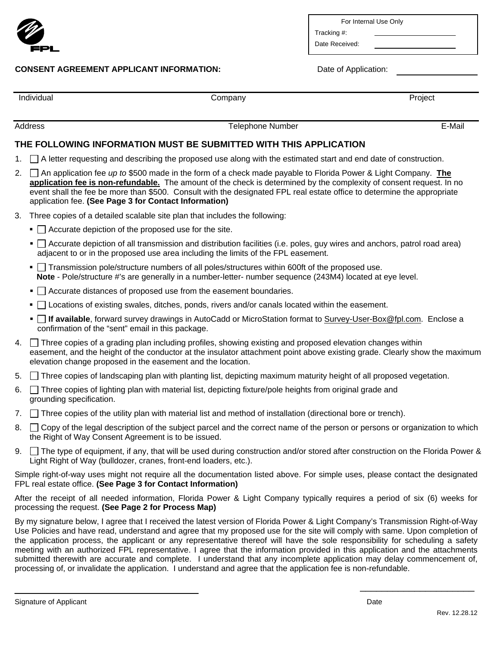

## **CONSENT AGREEMENT APPLICANT INFORMATION:** Date of Application:

| For Internal Use Only |  |  |
|-----------------------|--|--|
|-----------------------|--|--|

Tracking #: Date Received:

| Individual | company. | Project |
|------------|----------|---------|
|            |          |         |

Address Telephone Number E-Mail

## **THE FOLLOWING INFORMATION MUST BE SUBMITTED WITH THIS APPLICATION**

- 1.  $\Box$  A letter requesting and describing the proposed use along with the estimated start and end date of construction.
- 2. An application fee *up to* \$500 made in the form of a check made payable to Florida Power & Light Company. **The application fee is non-refundable.** The amount of the check is determined by the complexity of consent request. In no event shall the fee be more than \$500. Consult with the designated FPL real estate office to determine the appropriate application fee. **(See Page 3 for Contact Information)**
- 3. Three copies of a detailed scalable site plan that includes the following:
	- $\blacksquare$   $\Box$  Accurate depiction of the proposed use for the site.
	- $\blacksquare$  Accurate depiction of all transmission and distribution facilities (i.e. poles, guy wires and anchors, patrol road area) adjacent to or in the proposed use area including the limits of the FPL easement.
	- $\blacksquare$  Transmission pole/structure numbers of all poles/structures within 600ft of the proposed use. **Note** - Pole/structure #'s are generally in a number-letter- number sequence (243M4) located at eye level.
	- $\blacksquare$  Accurate distances of proposed use from the easement boundaries.
	- $\Box$  Locations of existing swales, ditches, ponds, rivers and/or canals located within the easement.
	- **If available**, forward survey drawings in AutoCadd or MicroStation format to Survey-User-Box@fpl.com. Enclose a confirmation of the "sent" email in this package.
- 4. Three copies of a grading plan including profiles, showing existing and proposed elevation changes within easement, and the height of the conductor at the insulator attachment point above existing grade. Clearly show the maximum elevation change proposed in the easement and the location.
- 5. Three copies of landscaping plan with planting list, depicting maximum maturity height of all proposed vegetation.
- 6. Three copies of lighting plan with material list, depicting fixture/pole heights from original grade and grounding specification.
- 7. Three copies of the utility plan with material list and method of installation (directional bore or trench).
- 8.  $\Box$  Copy of the legal description of the subject parcel and the correct name of the person or persons or organization to which the Right of Way Consent Agreement is to be issued.
- 9.  $\Box$  The type of equipment, if any, that will be used during construction and/or stored after construction on the Florida Power & Light Right of Way (bulldozer, cranes, front-end loaders, etc.).

Simple right-of-way uses might not require all the documentation listed above. For simple uses, please contact the designated FPL real estate office. **(See Page 3 for Contact Information)** 

After the receipt of all needed information, Florida Power & Light Company typically requires a period of six (6) weeks for processing the request. **(See Page 2 for Process Map)**

By my signature below, I agree that I received the latest version of Florida Power & Light Company's Transmission Right-of-Way Use Policies and have read, understand and agree that my proposed use for the site will comply with same. Upon completion of the application process, the applicant or any representative thereof will have the sole responsibility for scheduling a safety meeting with an authorized FPL representative. I agree that the information provided in this application and the attachments submitted therewith are accurate and complete. I understand that any incomplete application may delay commencement of, processing of, or invalidate the application. I understand and agree that the application fee is non-refundable.

 $\overline{\phantom{a}}$  , and the contract of the contract of the contract of the contract of the contract of the contract of the contract of the contract of the contract of the contract of the contract of the contract of the contrac

Signature of Applicant **Date** Date of Applicant **Date of Applicant** Date of Applicant **Date** Date of Applicant **Date**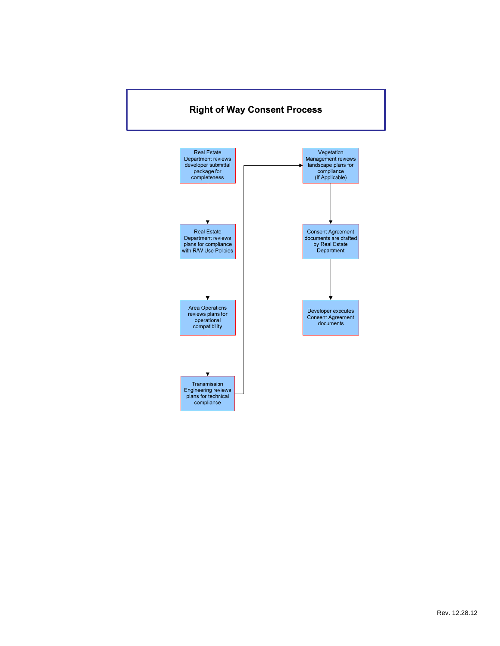